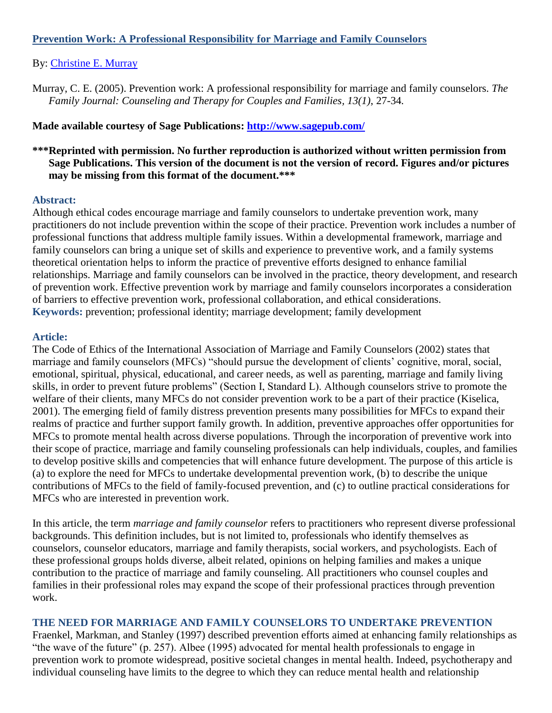## **Prevention Work: A Professional Responsibility for Marriage and Family Counselors**

### By: [Christine E. Murray](http://libres.uncg.edu/ir/uncg/clist.aspx?id=894)

Murray, C. E. (2005). Prevention work: A professional responsibility for marriage and family counselors. *The Family Journal: Counseling and Therapy for Couples and Families, 13(1)*, 27-34*.*

**Made available courtesy of Sage Publications:<http://www.sagepub.com/>**

## **\*\*\*Reprinted with permission. No further reproduction is authorized without written permission from Sage Publications. This version of the document is not the version of record. Figures and/or pictures may be missing from this format of the document.\*\*\***

#### **Abstract:**

Although ethical codes encourage marriage and family counselors to undertake prevention work, many practitioners do not include prevention within the scope of their practice. Prevention work includes a number of professional functions that address multiple family issues. Within a developmental framework, marriage and family counselors can bring a unique set of skills and experience to preventive work, and a family systems theoretical orientation helps to inform the practice of preventive efforts designed to enhance familial relationships. Marriage and family counselors can be involved in the practice, theory development, and research of prevention work. Effective prevention work by marriage and family counselors incorporates a consideration of barriers to effective prevention work, professional collaboration, and ethical considerations. **Keywords:** prevention; professional identity; marriage development; family development

#### **Article:**

The Code of Ethics of the International Association of Marriage and Family Counselors (2002) states that marriage and family counselors (MFCs) "should pursue the development of clients' cognitive, moral, social, emotional, spiritual, physical, educational, and career needs, as well as parenting, marriage and family living skills, in order to prevent future problems" (Section I, Standard L). Although counselors strive to promote the welfare of their clients, many MFCs do not consider prevention work to be a part of their practice (Kiselica, 2001). The emerging field of family distress prevention presents many possibilities for MFCs to expand their realms of practice and further support family growth. In addition, preventive approaches offer opportunities for MFCs to promote mental health across diverse populations. Through the incorporation of preventive work into their scope of practice, marriage and family counseling professionals can help individuals, couples, and families to develop positive skills and competencies that will enhance future development. The purpose of this article is (a) to explore the need for MFCs to undertake developmental prevention work, (b) to describe the unique contributions of MFCs to the field of family-focused prevention, and (c) to outline practical considerations for MFCs who are interested in prevention work.

In this article, the term *marriage and family counselor* refers to practitioners who represent diverse professional backgrounds. This definition includes, but is not limited to, professionals who identify themselves as counselors, counselor educators, marriage and family therapists, social workers, and psychologists. Each of these professional groups holds diverse, albeit related, opinions on helping families and makes a unique contribution to the practice of marriage and family counseling. All practitioners who counsel couples and families in their professional roles may expand the scope of their professional practices through prevention work.

#### **THE NEED FOR MARRIAGE AND FAMILY COUNSELORS TO UNDERTAKE PREVENTION**

Fraenkel, Markman, and Stanley (1997) described prevention efforts aimed at enhancing family relationships as "the wave of the future" (p. 257). Albee (1995) advocated for mental health professionals to engage in prevention work to promote widespread, positive societal changes in mental health. Indeed, psychotherapy and individual counseling have limits to the degree to which they can reduce mental health and relationship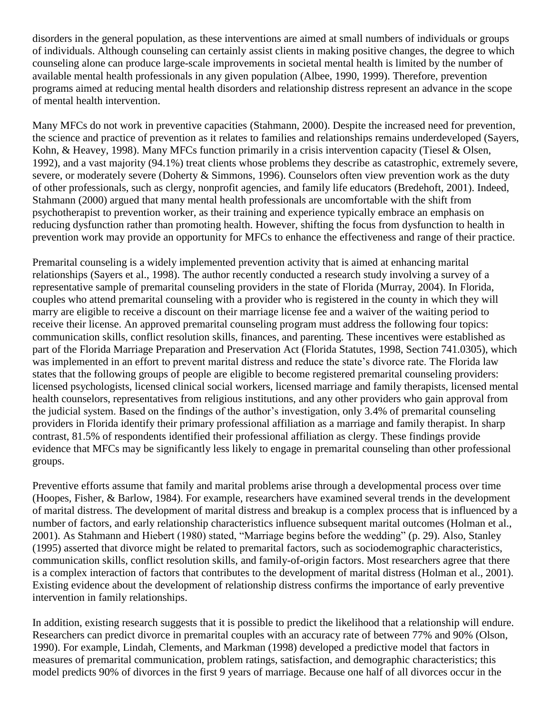disorders in the general population, as these interventions are aimed at small numbers of individuals or groups of individuals. Although counseling can certainly assist clients in making positive changes, the degree to which counseling alone can produce large-scale improvements in societal mental health is limited by the number of available mental health professionals in any given population (Albee, 1990, 1999). Therefore, prevention programs aimed at reducing mental health disorders and relationship distress represent an advance in the scope of mental health intervention.

Many MFCs do not work in preventive capacities (Stahmann, 2000). Despite the increased need for prevention, the science and practice of prevention as it relates to families and relationships remains underdeveloped (Sayers, Kohn, & Heavey, 1998). Many MFCs function primarily in a crisis intervention capacity (Tiesel & Olsen, 1992), and a vast majority (94.1%) treat clients whose problems they describe as catastrophic, extremely severe, severe, or moderately severe (Doherty & Simmons, 1996). Counselors often view prevention work as the duty of other professionals, such as clergy, nonprofit agencies, and family life educators (Bredehoft, 2001). Indeed, Stahmann (2000) argued that many mental health professionals are uncomfortable with the shift from psychotherapist to prevention worker, as their training and experience typically embrace an emphasis on reducing dysfunction rather than promoting health. However, shifting the focus from dysfunction to health in prevention work may provide an opportunity for MFCs to enhance the effectiveness and range of their practice.

Premarital counseling is a widely implemented prevention activity that is aimed at enhancing marital relationships (Sayers et al., 1998). The author recently conducted a research study involving a survey of a representative sample of premarital counseling providers in the state of Florida (Murray, 2004). In Florida, couples who attend premarital counseling with a provider who is registered in the county in which they will marry are eligible to receive a discount on their marriage license fee and a waiver of the waiting period to receive their license. An approved premarital counseling program must address the following four topics: communication skills, conflict resolution skills, finances, and parenting. These incentives were established as part of the Florida Marriage Preparation and Preservation Act (Florida Statutes, 1998, Section 741.0305), which was implemented in an effort to prevent marital distress and reduce the state's divorce rate. The Florida law states that the following groups of people are eligible to become registered premarital counseling providers: licensed psychologists, licensed clinical social workers, licensed marriage and family therapists, licensed mental health counselors, representatives from religious institutions, and any other providers who gain approval from the judicial system. Based on the findings of the author's investigation, only 3.4% of premarital counseling providers in Florida identify their primary professional affiliation as a marriage and family therapist. In sharp contrast, 81.5% of respondents identified their professional affiliation as clergy. These findings provide evidence that MFCs may be significantly less likely to engage in premarital counseling than other professional groups.

Preventive efforts assume that family and marital problems arise through a developmental process over time (Hoopes, Fisher, & Barlow, 1984). For example, researchers have examined several trends in the development of marital distress. The development of marital distress and breakup is a complex process that is influenced by a number of factors, and early relationship characteristics influence subsequent marital outcomes (Holman et al., 2001). As Stahmann and Hiebert (1980) stated, "Marriage begins before the wedding" (p. 29). Also, Stanley (1995) asserted that divorce might be related to premarital factors, such as sociodemographic characteristics, communication skills, conflict resolution skills, and family-of-origin factors. Most researchers agree that there is a complex interaction of factors that contributes to the development of marital distress (Holman et al., 2001). Existing evidence about the development of relationship distress confirms the importance of early preventive intervention in family relationships.

In addition, existing research suggests that it is possible to predict the likelihood that a relationship will endure. Researchers can predict divorce in premarital couples with an accuracy rate of between 77% and 90% (Olson, 1990). For example, Lindah, Clements, and Markman (1998) developed a predictive model that factors in measures of premarital communication, problem ratings, satisfaction, and demographic characteristics; this model predicts 90% of divorces in the first 9 years of marriage. Because one half of all divorces occur in the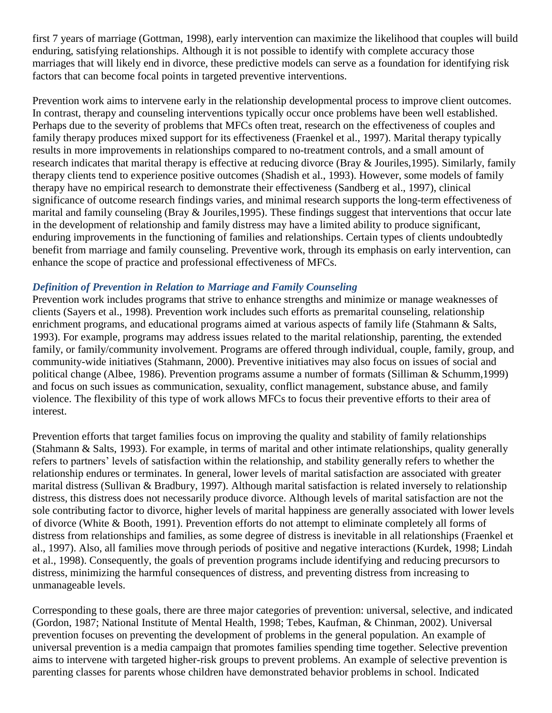first 7 years of marriage (Gottman, 1998), early intervention can maximize the likelihood that couples will build enduring, satisfying relationships. Although it is not possible to identify with complete accuracy those marriages that will likely end in divorce, these predictive models can serve as a foundation for identifying risk factors that can become focal points in targeted preventive interventions.

Prevention work aims to intervene early in the relationship developmental process to improve client outcomes. In contrast, therapy and counseling interventions typically occur once problems have been well established. Perhaps due to the severity of problems that MFCs often treat, research on the effectiveness of couples and family therapy produces mixed support for its effectiveness (Fraenkel et al., 1997). Marital therapy typically results in more improvements in relationships compared to no-treatment controls, and a small amount of research indicates that marital therapy is effective at reducing divorce (Bray & Jouriles,1995). Similarly, family therapy clients tend to experience positive outcomes (Shadish et al., 1993). However, some models of family therapy have no empirical research to demonstrate their effectiveness (Sandberg et al., 1997), clinical significance of outcome research findings varies, and minimal research supports the long-term effectiveness of marital and family counseling (Bray & Jouriles,1995). These findings suggest that interventions that occur late in the development of relationship and family distress may have a limited ability to produce significant, enduring improvements in the functioning of families and relationships. Certain types of clients undoubtedly benefit from marriage and family counseling. Preventive work, through its emphasis on early intervention, can enhance the scope of practice and professional effectiveness of MFCs.

### *Definition of Prevention in Relation to Marriage and Family Counseling*

Prevention work includes programs that strive to enhance strengths and minimize or manage weaknesses of clients (Sayers et al., 1998). Prevention work includes such efforts as premarital counseling, relationship enrichment programs, and educational programs aimed at various aspects of family life (Stahmann & Salts, 1993). For example, programs may address issues related to the marital relationship, parenting, the extended family, or family/community involvement. Programs are offered through individual, couple, family, group, and community-wide initiatives (Stahmann, 2000). Preventive initiatives may also focus on issues of social and political change (Albee, 1986). Prevention programs assume a number of formats (Silliman & Schumm,1999) and focus on such issues as communication, sexuality, conflict management, substance abuse, and family violence. The flexibility of this type of work allows MFCs to focus their preventive efforts to their area of interest.

Prevention efforts that target families focus on improving the quality and stability of family relationships (Stahmann & Salts, 1993). For example, in terms of marital and other intimate relationships, quality generally refers to partners' levels of satisfaction within the relationship, and stability generally refers to whether the relationship endures or terminates. In general, lower levels of marital satisfaction are associated with greater marital distress (Sullivan & Bradbury, 1997). Although marital satisfaction is related inversely to relationship distress, this distress does not necessarily produce divorce. Although levels of marital satisfaction are not the sole contributing factor to divorce, higher levels of marital happiness are generally associated with lower levels of divorce (White & Booth, 1991). Prevention efforts do not attempt to eliminate completely all forms of distress from relationships and families, as some degree of distress is inevitable in all relationships (Fraenkel et al., 1997). Also, all families move through periods of positive and negative interactions (Kurdek, 1998; Lindah et al., 1998). Consequently, the goals of prevention programs include identifying and reducing precursors to distress, minimizing the harmful consequences of distress, and preventing distress from increasing to unmanageable levels.

Corresponding to these goals, there are three major categories of prevention: universal, selective, and indicated (Gordon, 1987; National Institute of Mental Health, 1998; Tebes, Kaufman, & Chinman, 2002). Universal prevention focuses on preventing the development of problems in the general population. An example of universal prevention is a media campaign that promotes families spending time together. Selective prevention aims to intervene with targeted higher-risk groups to prevent problems. An example of selective prevention is parenting classes for parents whose children have demonstrated behavior problems in school. Indicated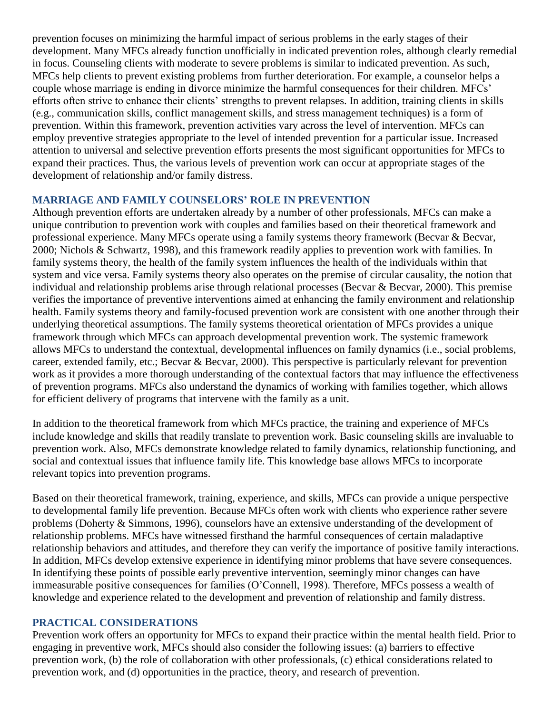prevention focuses on minimizing the harmful impact of serious problems in the early stages of their development. Many MFCs already function unofficially in indicated prevention roles, although clearly remedial in focus. Counseling clients with moderate to severe problems is similar to indicated prevention. As such, MFCs help clients to prevent existing problems from further deterioration. For example, a counselor helps a couple whose marriage is ending in divorce minimize the harmful consequences for their children. MFCs' efforts often strive to enhance their clients' strengths to prevent relapses. In addition, training clients in skills (e.g., communication skills, conflict management skills, and stress management techniques) is a form of prevention. Within this framework, prevention activities vary across the level of intervention. MFCs can employ preventive strategies appropriate to the level of intended prevention for a particular issue. Increased attention to universal and selective prevention efforts presents the most significant opportunities for MFCs to expand their practices. Thus, the various levels of prevention work can occur at appropriate stages of the development of relationship and/or family distress.

### **MARRIAGE AND FAMILY COUNSELORS' ROLE IN PREVENTION**

Although prevention efforts are undertaken already by a number of other professionals, MFCs can make a unique contribution to prevention work with couples and families based on their theoretical framework and professional experience. Many MFCs operate using a family systems theory framework (Becvar & Becvar, 2000; Nichols & Schwartz, 1998), and this framework readily applies to prevention work with families. In family systems theory, the health of the family system influences the health of the individuals within that system and vice versa. Family systems theory also operates on the premise of circular causality, the notion that individual and relationship problems arise through relational processes (Becvar & Becvar, 2000). This premise verifies the importance of preventive interventions aimed at enhancing the family environment and relationship health. Family systems theory and family-focused prevention work are consistent with one another through their underlying theoretical assumptions. The family systems theoretical orientation of MFCs provides a unique framework through which MFCs can approach developmental prevention work. The systemic framework allows MFCs to understand the contextual, developmental influences on family dynamics (i.e., social problems, career, extended family, etc.; Becvar & Becvar, 2000). This perspective is particularly relevant for prevention work as it provides a more thorough understanding of the contextual factors that may influence the effectiveness of prevention programs. MFCs also understand the dynamics of working with families together, which allows for efficient delivery of programs that intervene with the family as a unit.

In addition to the theoretical framework from which MFCs practice, the training and experience of MFCs include knowledge and skills that readily translate to prevention work. Basic counseling skills are invaluable to prevention work. Also, MFCs demonstrate knowledge related to family dynamics, relationship functioning, and social and contextual issues that influence family life. This knowledge base allows MFCs to incorporate relevant topics into prevention programs.

Based on their theoretical framework, training, experience, and skills, MFCs can provide a unique perspective to developmental family life prevention. Because MFCs often work with clients who experience rather severe problems (Doherty & Simmons, 1996), counselors have an extensive understanding of the development of relationship problems. MFCs have witnessed firsthand the harmful consequences of certain maladaptive relationship behaviors and attitudes, and therefore they can verify the importance of positive family interactions. In addition, MFCs develop extensive experience in identifying minor problems that have severe consequences. In identifying these points of possible early preventive intervention, seemingly minor changes can have immeasurable positive consequences for families (O'Connell, 1998). Therefore, MFCs possess a wealth of knowledge and experience related to the development and prevention of relationship and family distress.

#### **PRACTICAL CONSIDERATIONS**

Prevention work offers an opportunity for MFCs to expand their practice within the mental health field. Prior to engaging in preventive work, MFCs should also consider the following issues: (a) barriers to effective prevention work, (b) the role of collaboration with other professionals, (c) ethical considerations related to prevention work, and (d) opportunities in the practice, theory, and research of prevention.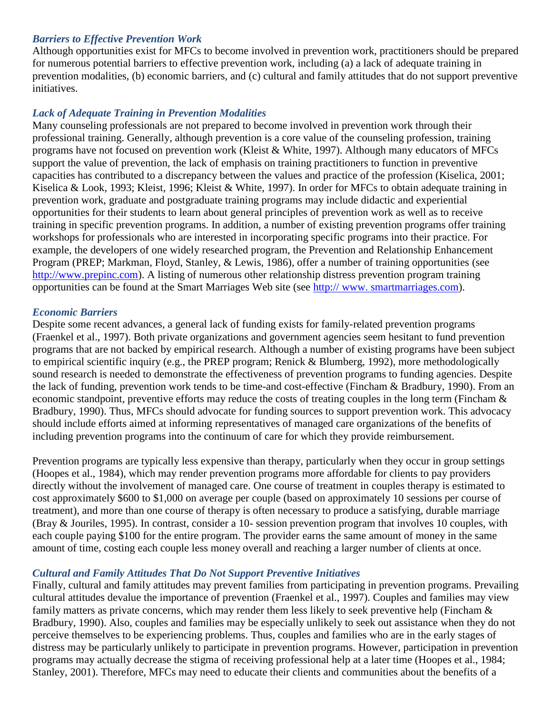### *Barriers to Effective Prevention Work*

Although opportunities exist for MFCs to become involved in prevention work, practitioners should be prepared for numerous potential barriers to effective prevention work, including (a) a lack of adequate training in prevention modalities, (b) economic barriers, and (c) cultural and family attitudes that do not support preventive initiatives.

## *Lack of Adequate Training in Prevention Modalities*

Many counseling professionals are not prepared to become involved in prevention work through their professional training. Generally, although prevention is a core value of the counseling profession, training programs have not focused on prevention work (Kleist & White, 1997). Although many educators of MFCs support the value of prevention, the lack of emphasis on training practitioners to function in preventive capacities has contributed to a discrepancy between the values and practice of the profession (Kiselica, 2001; Kiselica & Look, 1993; Kleist, 1996; Kleist & White, 1997). In order for MFCs to obtain adequate training in prevention work, graduate and postgraduate training programs may include didactic and experiential opportunities for their students to learn about general principles of prevention work as well as to receive training in specific prevention programs. In addition, a number of existing prevention programs offer training workshops for professionals who are interested in incorporating specific programs into their practice. For example, the developers of one widely researched program, the Prevention and Relationship Enhancement Program (PREP; Markman, Floyd, Stanley, & Lewis, 1986), offer a number of training opportunities (see [http://www.prepinc.com\)](http://www.prepinc.com/). A listing of numerous other relationship distress prevention program training opportunities can be found at the Smart Marriages Web site (see [http://](http://www.smartmarriage/) www. smartmarriag[es.com\)](http://s.com/).

#### *Economic Barriers*

Despite some recent advances, a general lack of funding exists for family-related prevention programs (Fraenkel et al., 1997). Both private organizations and government agencies seem hesitant to fund prevention programs that are not backed by empirical research. Although a number of existing programs have been subject to empirical scientific inquiry (e.g., the PREP program; Renick & Blumberg, 1992), more methodologically sound research is needed to demonstrate the effectiveness of prevention programs to funding agencies. Despite the lack of funding, prevention work tends to be time-and cost-effective (Fincham & Bradbury, 1990). From an economic standpoint, preventive efforts may reduce the costs of treating couples in the long term (Fincham & Bradbury, 1990). Thus, MFCs should advocate for funding sources to support prevention work. This advocacy should include efforts aimed at informing representatives of managed care organizations of the benefits of including prevention programs into the continuum of care for which they provide reimbursement.

Prevention programs are typically less expensive than therapy, particularly when they occur in group settings (Hoopes et al., 1984), which may render prevention programs more affordable for clients to pay providers directly without the involvement of managed care. One course of treatment in couples therapy is estimated to cost approximately \$600 to \$1,000 on average per couple (based on approximately 10 sessions per course of treatment), and more than one course of therapy is often necessary to produce a satisfying, durable marriage (Bray & Jouriles, 1995). In contrast, consider a 10- session prevention program that involves 10 couples, with each couple paying \$100 for the entire program. The provider earns the same amount of money in the same amount of time, costing each couple less money overall and reaching a larger number of clients at once.

#### *Cultural and Family Attitudes That Do Not Support Preventive Initiatives*

Finally, cultural and family attitudes may prevent families from participating in prevention programs. Prevailing cultural attitudes devalue the importance of prevention (Fraenkel et al., 1997). Couples and families may view family matters as private concerns, which may render them less likely to seek preventive help (Fincham  $\&$ Bradbury, 1990). Also, couples and families may be especially unlikely to seek out assistance when they do not perceive themselves to be experiencing problems. Thus, couples and families who are in the early stages of distress may be particularly unlikely to participate in prevention programs. However, participation in prevention programs may actually decrease the stigma of receiving professional help at a later time (Hoopes et al., 1984; Stanley, 2001). Therefore, MFCs may need to educate their clients and communities about the benefits of a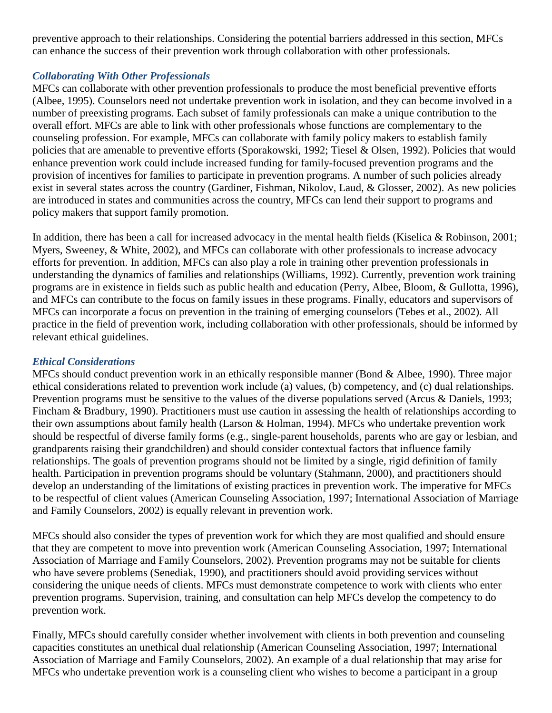preventive approach to their relationships. Considering the potential barriers addressed in this section, MFCs can enhance the success of their prevention work through collaboration with other professionals.

## *Collaborating With Other Professionals*

MFCs can collaborate with other prevention professionals to produce the most beneficial preventive efforts (Albee, 1995). Counselors need not undertake prevention work in isolation, and they can become involved in a number of preexisting programs. Each subset of family professionals can make a unique contribution to the overall effort. MFCs are able to link with other professionals whose functions are complementary to the counseling profession. For example, MFCs can collaborate with family policy makers to establish family policies that are amenable to preventive efforts (Sporakowski, 1992; Tiesel & Olsen, 1992). Policies that would enhance prevention work could include increased funding for family-focused prevention programs and the provision of incentives for families to participate in prevention programs. A number of such policies already exist in several states across the country (Gardiner, Fishman, Nikolov, Laud, & Glosser, 2002). As new policies are introduced in states and communities across the country, MFCs can lend their support to programs and policy makers that support family promotion.

In addition, there has been a call for increased advocacy in the mental health fields (Kiselica & Robinson, 2001; Myers, Sweeney, & White, 2002), and MFCs can collaborate with other professionals to increase advocacy efforts for prevention. In addition, MFCs can also play a role in training other prevention professionals in understanding the dynamics of families and relationships (Williams, 1992). Currently, prevention work training programs are in existence in fields such as public health and education (Perry, Albee, Bloom, & Gullotta, 1996), and MFCs can contribute to the focus on family issues in these programs. Finally, educators and supervisors of MFCs can incorporate a focus on prevention in the training of emerging counselors (Tebes et al., 2002). All practice in the field of prevention work, including collaboration with other professionals, should be informed by relevant ethical guidelines.

## *Ethical Considerations*

MFCs should conduct prevention work in an ethically responsible manner (Bond & Albee, 1990). Three major ethical considerations related to prevention work include (a) values, (b) competency, and (c) dual relationships. Prevention programs must be sensitive to the values of the diverse populations served (Arcus & Daniels, 1993; Fincham & Bradbury, 1990). Practitioners must use caution in assessing the health of relationships according to their own assumptions about family health (Larson & Holman, 1994). MFCs who undertake prevention work should be respectful of diverse family forms (e.g., single-parent households, parents who are gay or lesbian, and grandparents raising their grandchildren) and should consider contextual factors that influence family relationships. The goals of prevention programs should not be limited by a single, rigid definition of family health. Participation in prevention programs should be voluntary (Stahmann, 2000), and practitioners should develop an understanding of the limitations of existing practices in prevention work. The imperative for MFCs to be respectful of client values (American Counseling Association, 1997; International Association of Marriage and Family Counselors, 2002) is equally relevant in prevention work.

MFCs should also consider the types of prevention work for which they are most qualified and should ensure that they are competent to move into prevention work (American Counseling Association, 1997; International Association of Marriage and Family Counselors, 2002). Prevention programs may not be suitable for clients who have severe problems (Senediak, 1990), and practitioners should avoid providing services without considering the unique needs of clients. MFCs must demonstrate competence to work with clients who enter prevention programs. Supervision, training, and consultation can help MFCs develop the competency to do prevention work.

Finally, MFCs should carefully consider whether involvement with clients in both prevention and counseling capacities constitutes an unethical dual relationship (American Counseling Association, 1997; International Association of Marriage and Family Counselors, 2002). An example of a dual relationship that may arise for MFCs who undertake prevention work is a counseling client who wishes to become a participant in a group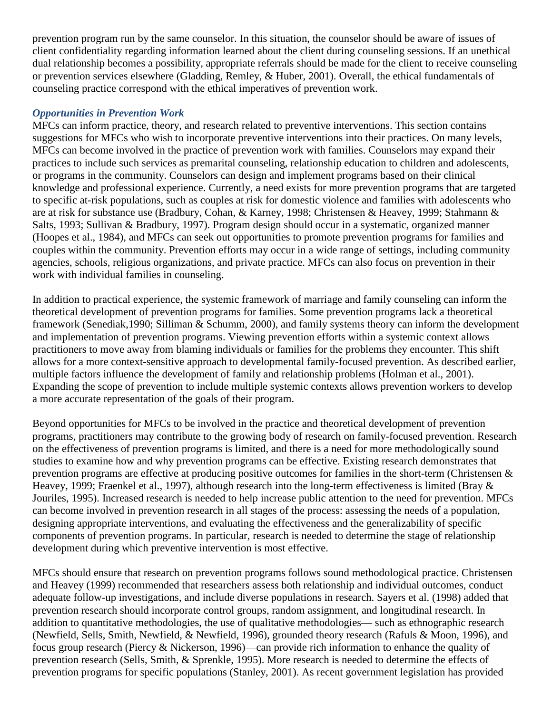prevention program run by the same counselor. In this situation, the counselor should be aware of issues of client confidentiality regarding information learned about the client during counseling sessions. If an unethical dual relationship becomes a possibility, appropriate referrals should be made for the client to receive counseling or prevention services elsewhere (Gladding, Remley, & Huber, 2001). Overall, the ethical fundamentals of counseling practice correspond with the ethical imperatives of prevention work.

## *Opportunities in Prevention Work*

MFCs can inform practice, theory, and research related to preventive interventions. This section contains suggestions for MFCs who wish to incorporate preventive interventions into their practices. On many levels, MFCs can become involved in the practice of prevention work with families. Counselors may expand their practices to include such services as premarital counseling, relationship education to children and adolescents, or programs in the community. Counselors can design and implement programs based on their clinical knowledge and professional experience. Currently, a need exists for more prevention programs that are targeted to specific at-risk populations, such as couples at risk for domestic violence and families with adolescents who are at risk for substance use (Bradbury, Cohan, & Karney, 1998; Christensen & Heavey, 1999; Stahmann & Salts, 1993; Sullivan & Bradbury, 1997). Program design should occur in a systematic, organized manner (Hoopes et al., 1984), and MFCs can seek out opportunities to promote prevention programs for families and couples within the community. Prevention efforts may occur in a wide range of settings, including community agencies, schools, religious organizations, and private practice. MFCs can also focus on prevention in their work with individual families in counseling.

In addition to practical experience, the systemic framework of marriage and family counseling can inform the theoretical development of prevention programs for families. Some prevention programs lack a theoretical framework (Senediak,1990; Silliman & Schumm, 2000), and family systems theory can inform the development and implementation of prevention programs. Viewing prevention efforts within a systemic context allows practitioners to move away from blaming individuals or families for the problems they encounter. This shift allows for a more context-sensitive approach to developmental family-focused prevention. As described earlier, multiple factors influence the development of family and relationship problems (Holman et al., 2001). Expanding the scope of prevention to include multiple systemic contexts allows prevention workers to develop a more accurate representation of the goals of their program.

Beyond opportunities for MFCs to be involved in the practice and theoretical development of prevention programs, practitioners may contribute to the growing body of research on family-focused prevention. Research on the effectiveness of prevention programs is limited, and there is a need for more methodologically sound studies to examine how and why prevention programs can be effective. Existing research demonstrates that prevention programs are effective at producing positive outcomes for families in the short-term (Christensen & Heavey, 1999; Fraenkel et al., 1997), although research into the long-term effectiveness is limited (Bray & Jouriles, 1995). Increased research is needed to help increase public attention to the need for prevention. MFCs can become involved in prevention research in all stages of the process: assessing the needs of a population, designing appropriate interventions, and evaluating the effectiveness and the generalizability of specific components of prevention programs. In particular, research is needed to determine the stage of relationship development during which preventive intervention is most effective.

MFCs should ensure that research on prevention programs follows sound methodological practice. Christensen and Heavey (1999) recommended that researchers assess both relationship and individual outcomes, conduct adequate follow-up investigations, and include diverse populations in research. Sayers et al. (1998) added that prevention research should incorporate control groups, random assignment, and longitudinal research. In addition to quantitative methodologies, the use of qualitative methodologies— such as ethnographic research (Newfield, Sells, Smith, Newfield, & Newfield, 1996), grounded theory research (Rafuls & Moon, 1996), and focus group research (Piercy & Nickerson, 1996)—can provide rich information to enhance the quality of prevention research (Sells, Smith, & Sprenkle, 1995). More research is needed to determine the effects of prevention programs for specific populations (Stanley, 2001). As recent government legislation has provided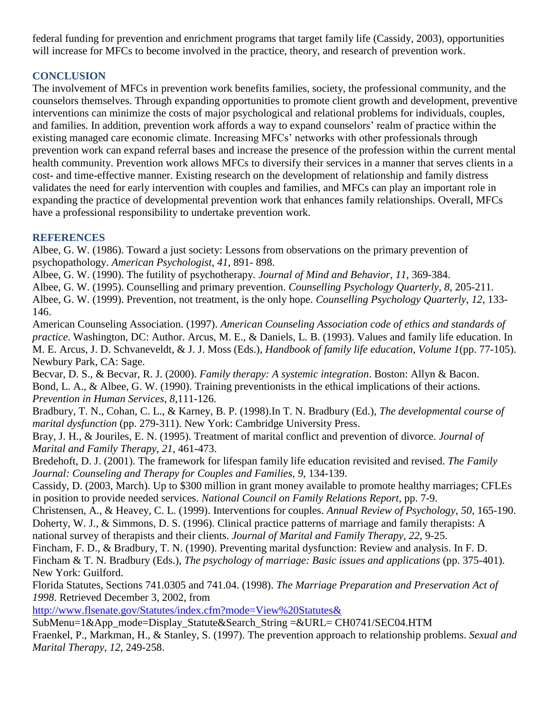federal funding for prevention and enrichment programs that target family life (Cassidy, 2003), opportunities will increase for MFCs to become involved in the practice, theory, and research of prevention work.

# **CONCLUSION**

The involvement of MFCs in prevention work benefits families, society, the professional community, and the counselors themselves. Through expanding opportunities to promote client growth and development, preventive interventions can minimize the costs of major psychological and relational problems for individuals, couples, and families. In addition, prevention work affords a way to expand counselors' realm of practice within the existing managed care economic climate. Increasing MFCs' networks with other professionals through prevention work can expand referral bases and increase the presence of the profession within the current mental health community. Prevention work allows MFCs to diversify their services in a manner that serves clients in a cost- and time-effective manner. Existing research on the development of relationship and family distress validates the need for early intervention with couples and families, and MFCs can play an important role in expanding the practice of developmental prevention work that enhances family relationships. Overall, MFCs have a professional responsibility to undertake prevention work.

### **REFERENCES**

Albee, G. W. (1986). Toward a just society: Lessons from observations on the primary prevention of psychopathology. *American Psychologist*, *41*, 891- 898.

Albee, G. W. (1990). The futility of psychotherapy. *Journal of Mind and Behavior*, *11*, 369-384.

Albee, G. W. (1995). Counselling and primary prevention. *Counselling Psychology Quarterly*, *8*, 205-211. Albee, G. W. (1999). Prevention, not treatment, is the only hope. *Counselling Psychology Quarterly*, *12*, 133- 146.

American Counseling Association. (1997). *American Counseling Association code of ethics and standards of practice*. Washington, DC: Author. Arcus, M. E., & Daniels, L. B. (1993). Values and family life education. In M. E. Arcus, J. D. Schvaneveldt, & J. J. Moss (Eds.), *Handbook of family life education, Volume 1*(pp. 77-105). Newbury Park, CA: Sage.

Becvar, D. S., & Becvar, R. J. (2000). *Family therapy: A systemic integration*. Boston: Allyn & Bacon. Bond, L. A., & Albee, G. W. (1990). Training preventionists in the ethical implications of their actions. *Prevention in Human Services*, *8*,111-126.

Bradbury, T. N., Cohan, C. L., & Karney, B. P. (1998).In T. N. Bradbury (Ed.), *The developmental course of marital dysfunction* (pp. 279-311). New York: Cambridge University Press.

Bray, J. H., & Jouriles, E. N. (1995). Treatment of marital conflict and prevention of divorce. *Journal of Marital and Family Therapy*, *21*, 461-473.

Bredehoft, D. J. (2001). The framework for lifespan family life education revisited and revised. *The Family Journal: Counseling and Therapy for Couples and Families*, *9*, 134-139.

Cassidy, D. (2003, March). Up to \$300 million in grant money available to promote healthy marriages; CFLEs in position to provide needed services. *National Council on Family Relations Report*, pp. 7-9.

Christensen, A., & Heavey, C. L. (1999). Interventions for couples. *Annual Review of Psychology*, *50*, 165-190. Doherty, W. J., & Simmons, D. S. (1996). Clinical practice patterns of marriage and family therapists: A national survey of therapists and their clients. *Journal of Marital and Family Therapy*, *22*, 9-25.

Fincham, F. D., & Bradbury, T. N. (1990). Preventing marital dysfunction: Review and analysis. In F. D.

Fincham & T. N. Bradbury (Eds.), *The psychology of marriage: Basic issues and applications* (pp. 375-401). New York: Guilford.

Florida Statutes, Sections 741.0305 and 741.04. (1998). *The Marriage Preparation and Preservation Act of 1998*. Retrieved December 3, 2002, from

<http://www.flsenate.gov/Statutes/index.cfm?mode=View%20Statutes&>

SubMenu=1&App\_mode=Display\_Statute&Search\_String =&URL= CH0741/SEC04.HTM

Fraenkel, P., Markman, H., & Stanley, S. (1997). The prevention approach to relationship problems. *Sexual and Marital Therapy*, *12*, 249-258.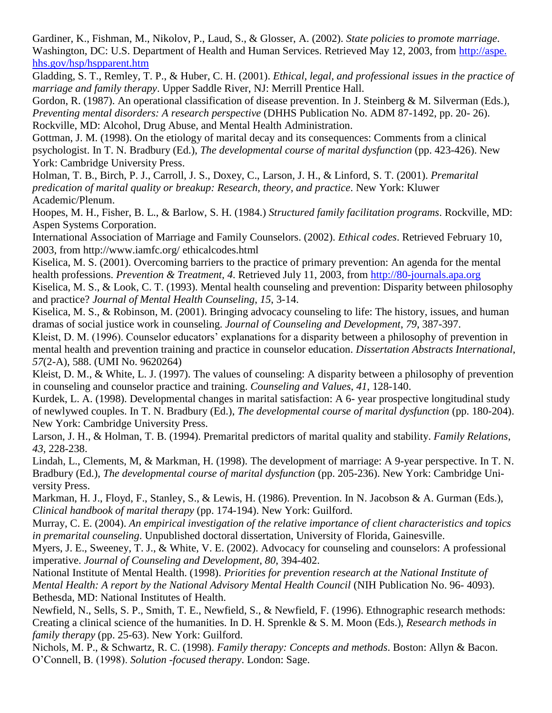Gardiner, K., Fishman, M., Nikolov, P., Laud, S., & Glosser, A. (2002). *State policies to promote marriage*. Washington, DC: U.S. Department of Health and Human Services. Retrieved May 12, 2003, from [http://aspe.](http://aspe.hhs.gov/hsp/hspparent.htm) hhs.gov/hsp/hspparent.htm

Gladding, S. T., Remley, T. P., & Huber, C. H. (2001). *Ethical, legal, and professional issues in the practice of marriage and family therapy*. Upper Saddle River, NJ: Merrill Prentice Hall.

Gordon, R. (1987). An operational classification of disease prevention. In J. Steinberg & M. Silverman (Eds.), *Preventing mental disorders: A research perspective* (DHHS Publication No. ADM 87-1492, pp. 20- 26). Rockville, MD: Alcohol, Drug Abuse, and Mental Health Administration.

Gottman, J. M. (1998). On the etiology of marital decay and its consequences: Comments from a clinical psychologist. In T. N. Bradbury (Ed.), *The developmental course of marital dysfunction* (pp. 423-426). New York: Cambridge University Press.

Holman, T. B., Birch, P. J., Carroll, J. S., Doxey, C., Larson, J. H., & Linford, S. T. (2001). *Premarital predication of marital quality or breakup: Research, theory, and practice*. New York: Kluwer Academic/Plenum.

Hoopes, M. H., Fisher, B. L., & Barlow, S. H. (1984.) *Structured family facilitation programs*. Rockville, MD: Aspen Systems Corporation.

International Association of Marriage and Family Counselors. (2002). *Ethical codes*. Retrieved February 10, 2003, from http://www.iamfc.org/ ethicalcodes.html

Kiselica, M. S. (2001). Overcoming barriers to the practice of primary prevention: An agenda for the mental health professions. *Prevention & Treatment*, *4*. Retrieved July 11, 2003, from [http://80-journals.apa.org](http://80-journals.apa.org/) Kiselica, M. S., & Look, C. T. (1993). Mental health counseling and prevention: Disparity between philosophy

and practice? *Journal of Mental Health Counseling*, *15*, 3-14.

Kiselica, M. S., & Robinson, M. (2001). Bringing advocacy counseling to life: The history, issues, and human dramas of social justice work in counseling. *Journal of Counseling and Development*, *79*, 387-397.

Kleist, D. M. (1996). Counselor educators' explanations for a disparity between a philosophy of prevention in mental health and prevention training and practice in counselor education. *Dissertation Abstracts International*, *57*(2-A), 588. (UMI No. 9620264)

Kleist, D. M., & White, L. J. (1997). The values of counseling: A disparity between a philosophy of prevention in counseling and counselor practice and training. *Counseling and Values*, *41*, 128-140.

Kurdek, L. A. (1998). Developmental changes in marital satisfaction: A 6- year prospective longitudinal study of newlywed couples. In T. N. Bradbury (Ed.), *The developmental course of marital dysfunction* (pp. 180-204). New York: Cambridge University Press.

Larson, J. H., & Holman, T. B. (1994). Premarital predictors of marital quality and stability. *Family Relations*, *43*, 228-238.

Lindah, L., Clements, M, & Markman, H. (1998). The development of marriage: A 9-year perspective. In T. N. Bradbury (Ed.), *The developmental course of marital dysfunction* (pp. 205-236). New York: Cambridge University Press.

Markman, H. J., Floyd, F., Stanley, S., & Lewis, H. (1986). Prevention. In N. Jacobson & A. Gurman (Eds.), *Clinical handbook of marital therapy* (pp. 174-194). New York: Guilford.

Murray, C. E. (2004). *An empirical investigation of the relative importance of client characteristics and topics in premarital counseling*. Unpublished doctoral dissertation, University of Florida, Gainesville.

Myers, J. E., Sweeney, T. J., & White, V. E. (2002). Advocacy for counseling and counselors: A professional imperative. *Journal of Counseling and Development*, *80*, 394-402.

National Institute of Mental Health. (1998). *Priorities for prevention research at the National Institute of Mental Health: A report by the National Advisory Mental Health Council* (NIH Publication No. 96- 4093). Bethesda, MD: National Institutes of Health.

Newfield, N., Sells, S. P., Smith, T. E., Newfield, S., & Newfield, F. (1996). Ethnographic research methods: Creating a clinical science of the humanities. In D. H. Sprenkle & S. M. Moon (Eds.), *Research methods in family therapy* (pp. 25-63). New York: Guilford.

Nichols, M. P., & Schwartz, R. C. (1998). *Family therapy: Concepts and methods*. Boston: Allyn & Bacon. O'Connell, B. (1998). *Solution -focused therapy*. London: Sage.